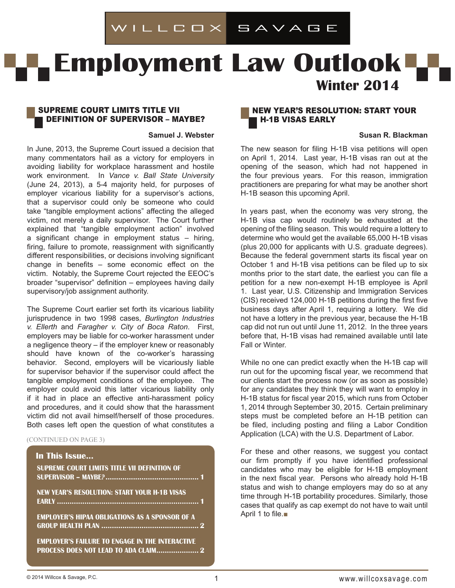# ILLCOX SAVAGE

# **Employment Law Outlook Winter 2014**

#### Supreme Court Limits Title VII Definition of SUPERVISOR – MAYBE?

#### **Samuel J. Webster**

In June, 2013, the Supreme Court issued a decision that many commentators hail as a victory for employers in avoiding liability for workplace harassment and hostile work environment. In *Vance v. Ball State University* (June 24, 2013), a 5-4 majority held, for purposes of employer vicarious liability for a supervisor's actions, that a supervisor could only be someone who could take "tangible employment actions" affecting the alleged victim, not merely a daily supervisor. The Court further explained that "tangible employment action" involved a significant change in employment status – hiring, firing, failure to promote, reassignment with significantly different responsibilities, or decisions involving significant change in benefits – some economic effect on the victim. Notably, the Supreme Court rejected the EEOC's broader "supervisor" definition – employees having daily supervisory/job assignment authority.

The Supreme Court earlier set forth its vicarious liability jurisprudence in two 1998 cases, *Burlington Industries v. Ellerth* and *Faragher v. City of Boca Raton*. First, employers may be liable for co-worker harassment under a negligence theory – if the employer knew or reasonably should have known of the co-worker's harassing behavior. Second, employers will be vicariously liable for supervisor behavior if the supervisor could affect the tangible employment conditions of the employee. The employer could avoid this latter vicarious liability only if it had in place an effective anti-harassment policy and procedures, and it could show that the harassment victim did not avail himself/herself of those procedures. Both cases left open the question of what constitutes a

#### (CONTINUED ON PAGE 3)

# **In This Issue... Supreme Court Limits Title VII Definition of SUPERVISOR – MAYBE?............................................ 1 New Year's Resolution: Start Your H-1B Visas Early ................................................................... 1 employer's hipaa obligations as a sponsor of a group health plan .............................................. 2 employer's failure to engage in the Interactive process does NOT LEAD TO ADA claim.................... 2**

## New Year's Resolution: Start Your H-1B Visas Early

#### **Susan R. Blackman**

The new season for filing H-1B visa petitions will open on April 1, 2014. Last year, H-1B visas ran out at the opening of the season, which had not happened in the four previous years. For this reason, immigration practitioners are preparing for what may be another short H-1B season this upcoming April.

In years past, when the economy was very strong, the H-1B visa cap would routinely be exhausted at the opening of the filing season. This would require a lottery to determine who would get the available 65,000 H-1B visas (plus 20,000 for applicants with U.S. graduate degrees). Because the federal government starts its fiscal year on October 1 and H-1B visa petitions can be filed up to six months prior to the start date, the earliest you can file a petition for a new non-exempt H-1B employee is April 1. Last year, U.S. Citizenship and Immigration Services (CIS) received 124,000 H-1B petitions during the first five business days after April 1, requiring a lottery. We did not have a lottery in the previous year, because the H-1B cap did not run out until June 11, 2012. In the three years before that, H-1B visas had remained available until late Fall or Winter.

While no one can predict exactly when the H-1B cap will run out for the upcoming fiscal year, we recommend that our clients start the process now (or as soon as possible) for any candidates they think they will want to employ in H-1B status for fiscal year 2015, which runs from October 1, 2014 through September 30, 2015. Certain preliminary steps must be completed before an H-1B petition can be filed, including posting and filing a Labor Condition Application (LCA) with the U.S. Department of Labor.

For these and other reasons, we suggest you contact our firm promptly if you have identified professional candidates who may be eligible for H-1B employment in the next fiscal year. Persons who already hold H-1B status and wish to change employers may do so at any time through H-1B portability procedures. Similarly, those cases that qualify as cap exempt do not have to wait until April 1 to file.■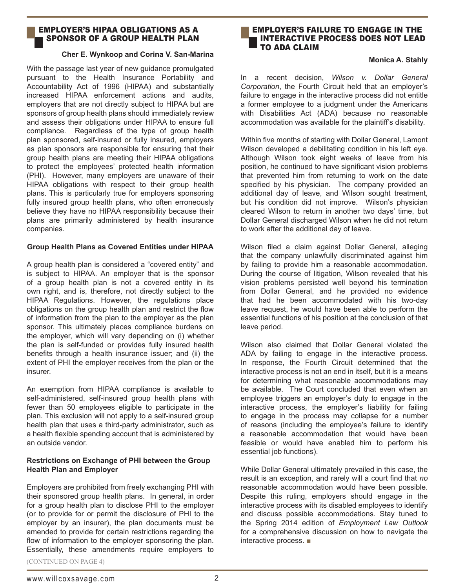## employer's hipaa obligations as a sponsor of a group health plan

#### **Cher E. Wynkoop and Corina V. San-Marina**

With the passage last year of new guidance promulgated pursuant to the Health Insurance Portability and Accountability Act of 1996 (HIPAA) and substantially increased HIPAA enforcement actions and audits, employers that are not directly subject to HIPAA but are sponsors of group health plans should immediately review and assess their obligations under HIPAA to ensure full compliance. Regardless of the type of group health plan sponsored, self-insured or fully insured, employers as plan sponsors are responsible for ensuring that their group health plans are meeting their HIPAA obligations to protect the employees' protected health information (PHI). However, many employers are unaware of their HIPAA obligations with respect to their group health plans. This is particularly true for employers sponsoring fully insured group health plans, who often erroneously believe they have no HIPAA responsibility because their plans are primarily administered by health insurance companies.

#### **Group Health Plans as Covered Entities under HIPAA**

A group health plan is considered a "covered entity" and is subject to HIPAA. An employer that is the sponsor of a group health plan is not a covered entity in its own right, and is, therefore, not directly subject to the HIPAA Regulations. However, the regulations place obligations on the group health plan and restrict the flow of information from the plan to the employer as the plan sponsor. This ultimately places compliance burdens on the employer, which will vary depending on (i) whether the plan is self-funded or provides fully insured health benefits through a health insurance issuer; and (ii) the extent of PHI the employer receives from the plan or the insurer.

An exemption from HIPAA compliance is available to self-administered, self-insured group health plans with fewer than 50 employees eligible to participate in the plan. This exclusion will not apply to a self-insured group health plan that uses a third-party administrator, such as a health flexible spending account that is administered by an outside vendor.

#### **Restrictions on Exchange of PHI between the Group Health Plan and Employer**

Employers are prohibited from freely exchanging PHI with their sponsored group health plans. In general, in order for a group health plan to disclose PHI to the employer (or to provide for or permit the disclosure of PHI to the employer by an insurer), the plan documents must be amended to provide for certain restrictions regarding the flow of information to the employer sponsoring the plan. Essentially, these amendments require employers to

#### employer's failure to engage in the Interactive process DOES NOT LEAD TO ada CLAIM

#### **Monica A. Stahly**

In a recent decision, *Wilson v. Dollar General Corporation*, the Fourth Circuit held that an employer's failure to engage in the interactive process did not entitle a former employee to a judgment under the Americans with Disabilities Act (ADA) because no reasonable accommodation was available for the plaintiff's disability.

Within five months of starting with Dollar General, Lamont Wilson developed a debilitating condition in his left eve. Although Wilson took eight weeks of leave from his position, he continued to have significant vision problems that prevented him from returning to work on the date specified by his physician. The company provided an additional day of leave, and Wilson sought treatment, but his condition did not improve. Wilson's physician cleared Wilson to return in another two days' time, but Dollar General discharged Wilson when he did not return to work after the additional day of leave.

Wilson filed a claim against Dollar General, alleging that the company unlawfully discriminated against him by failing to provide him a reasonable accommodation. During the course of litigation, Wilson revealed that his vision problems persisted well beyond his termination from Dollar General, and he provided no evidence that had he been accommodated with his two-day leave request, he would have been able to perform the essential functions of his position at the conclusion of that leave period.

Wilson also claimed that Dollar General violated the ADA by failing to engage in the interactive process. In response, the Fourth Circuit determined that the interactive process is not an end in itself, but it is a means for determining what reasonable accommodations may be available. The Court concluded that even when an employee triggers an employer's duty to engage in the interactive process, the employer's liability for failing to engage in the process may collapse for a number of reasons (including the employee's failure to identify a reasonable accommodation that would have been feasible or would have enabled him to perform his essential job functions).

While Dollar General ultimately prevailed in this case, the result is an exception, and rarely will a court find that *no* reasonable accommodation would have been possible. Despite this ruling, employers should engage in the interactive process with its disabled employees to identify and discuss possible accommodations. Stay tuned to the Spring 2014 edition of *Employment Law Outlook*  for a comprehensive discussion on how to navigate the interactive process. ■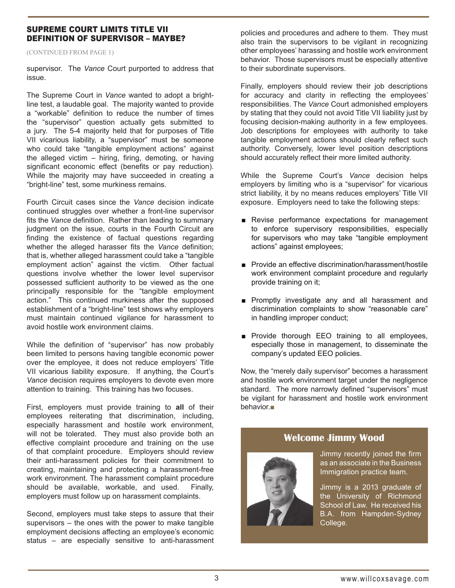## Supreme Court Limits Title VII Definition of SUPERVISOR – MAYBE?

(continued from page 1)

supervisor. The *Vance* Court purported to address that issue.

The Supreme Court in *Vance* wanted to adopt a brightline test, a laudable goal. The majority wanted to provide a "workable" definition to reduce the number of times the "supervisor" question actually gets submitted to a jury. The 5-4 majority held that for purposes of Title VII vicarious liability, a "supervisor" must be someone who could take "tangible employment actions" against the alleged victim – hiring, firing, demoting, or having significant economic effect (benefits or pay reduction). While the majority may have succeeded in creating a "bright-line" test, some murkiness remains.

Fourth Circuit cases since the *Vance* decision indicate continued struggles over whether a front-line supervisor fits the *Vance* definition. Rather than leading to summary judgment on the issue, courts in the Fourth Circuit are finding the existence of factual questions regarding whether the alleged harasser fits the *Vance* definition; that is, whether alleged harassment could take a "tangible employment action" against the victim. Other factual questions involve whether the lower level supervisor possessed sufficient authority to be viewed as the one principally responsible for the "tangible employment action." This continued murkiness after the supposed establishment of a "bright-line" test shows why employers must maintain continued vigilance for harassment to avoid hostile work environment claims.

While the definition of "supervisor" has now probably been limited to persons having tangible economic power over the employee, it does not reduce employers' Title VII vicarious liability exposure. If anything, the Court's *Vance* decision requires employers to devote even more attention to training. This training has two focuses.

First, employers must provide training to **all** of their employees reiterating that discrimination, including, especially harassment and hostile work environment, will not be tolerated. They must also provide both an effective complaint procedure and training on the use of that complaint procedure. Employers should review their anti-harassment policies for their commitment to creating, maintaining and protecting a harassment-free work environment. The harassment complaint procedure should be available, workable, and used. Finally, employers must follow up on harassment complaints.

Second, employers must take steps to assure that their supervisors – the ones with the power to make tangible employment decisions affecting an employee's economic status – are especially sensitive to anti-harassment policies and procedures and adhere to them. They must also train the supervisors to be vigilant in recognizing other employees' harassing and hostile work environment behavior. Those supervisors must be especially attentive to their subordinate supervisors.

Finally, employers should review their job descriptions for accuracy and clarity in reflecting the employees' responsibilities. The *Vance* Court admonished employers by stating that they could not avoid Title VII liability just by focusing decision-making authority in a few employees. Job descriptions for employees with authority to take tangible employment actions should clearly reflect such authority. Conversely, lower level position descriptions should accurately reflect their more limited authority.

While the Supreme Court's *Vance* decision helps employers by limiting who is a "supervisor" for vicarious strict liability, it by no means reduces employers' Title VII exposure. Employers need to take the following steps:

- Revise performance expectations for management to enforce supervisory responsibilities, especially for supervisors who may take "tangible employment actions" against employees;
- Provide an effective discrimination/harassment/hostile work environment complaint procedure and regularly provide training on it;
- Promptly investigate any and all harassment and discrimination complaints to show "reasonable care" in handling improper conduct;
- Provide thorough EEO training to all employees, especially those in management, to disseminate the company's updated EEO policies.

Now, the "merely daily supervisor" becomes a harassment and hostile work environment target under the negligence standard. The more narrowly defined "supervisors" must be vigilant for harassment and hostile work environment behavior.■



# **Welcome Jimmy Wood**

Jimmy recently joined the firm as an associate in the Business Immigration practice team.

Jimmy is a 2013 graduate of the University of Richmond School of Law. He received his B.A. from Hampden-Sydney College.